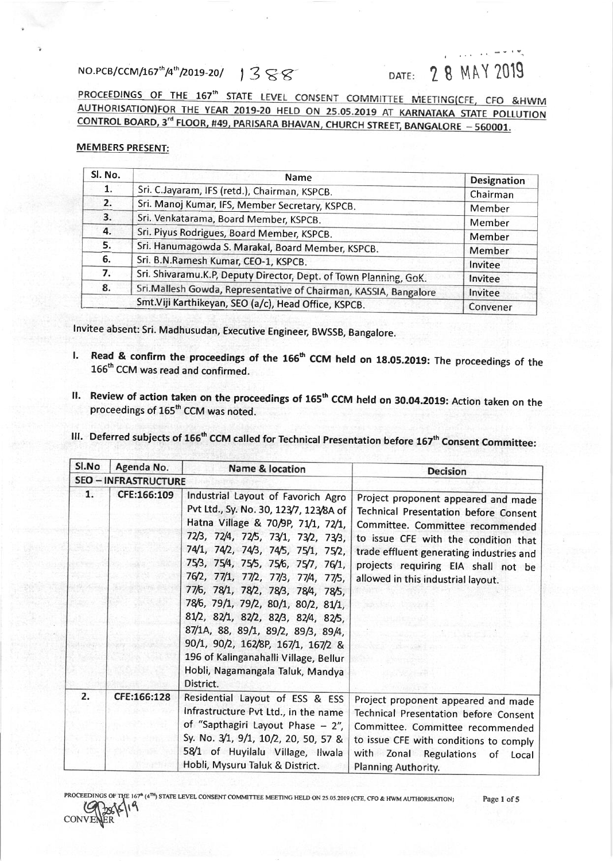## $N$ O.PCB/CCM/167<sup>th</sup>/4<sup>th</sup>/2019-20/  $13$  sag 2I NAY 2019

PROCEEDINGS OF THE 167<sup>th</sup> STATE LEVEL CONSENT COMMITTEE MEETING(CFE, CFO &HWM<br>AUTHORISATION)FOR THE YEAR 2019-20 HELD ON 25.05.2019 AT KARNATAKA STATE POLLUTION CONTROL BOARD, 3<sup>rd</sup> FLOOR, #49, PARISARA BHAVAN, CHURCH STREET, BANGALORE - 560001.

## MEMBERS PRESENT:

CONVENER

| Sl. No. | <b>Name</b>                                                       | <b>Designation</b> |  |
|---------|-------------------------------------------------------------------|--------------------|--|
| 1.      | Sri. C.Jayaram, IFS (retd.), Chairman, KSPCB.                     |                    |  |
| 2.      | Sri. Manoj Kumar, IFS, Member Secretary, KSPCB.                   |                    |  |
| 3.      | Member<br>Sri. Venkatarama, Board Member, KSPCB.                  |                    |  |
| 4.      | Member<br>Sri. Piyus Rodrigues, Board Member, KSPCB.<br>Member    |                    |  |
| 5.      | Sri. Hanumagowda S. Marakal, Board Member, KSPCB.                 | Member             |  |
| 6.      | Sri. B.N.Ramesh Kumar, CEO-1, KSPCB.                              | Invitee            |  |
| 7.      | Sri. Shivaramu.K.P, Deputy Director, Dept. of Town Planning, GoK. | Invitee            |  |
| 8.      | Sri.Mallesh Gowda, Representative of Chairman, KASSIA, Bangalore  | Invitee            |  |
|         | Smt. Viji Karthikeyan, SEO (a/c), Head Office, KSPCB.             | Convener           |  |

lnvitee absent: sri. Madhusudan, Executive Engineer, BWSSB, Bangalore.

- I. Read & confirm the proceedings of the 166<sup>th</sup> CCM held on 18.05.2019: The proceedings of the 166<sup>th</sup> CCM was read and confirmed.
- II. Review of action taken on the proceedings of  $165<sup>th</sup>$  CCM held on 30.04.2019: Action taken on the proceedings of  $165<sup>th</sup>$  CCM was noted.
- III. Deferred subjects of 166<sup>th</sup> CCM called for Technical Presentation before 167<sup>th</sup> Consent Committee:

| SI.No                       | Agenda No.  | <b>Name &amp; location</b>                                                                                                                                                                                                                                                                                                                                                                                                                                                                                                                                                | <b>Decision</b>                                                                                                                                                                                                                                                                          |
|-----------------------------|-------------|---------------------------------------------------------------------------------------------------------------------------------------------------------------------------------------------------------------------------------------------------------------------------------------------------------------------------------------------------------------------------------------------------------------------------------------------------------------------------------------------------------------------------------------------------------------------------|------------------------------------------------------------------------------------------------------------------------------------------------------------------------------------------------------------------------------------------------------------------------------------------|
| <b>SEO - INFRASTRUCTURE</b> |             |                                                                                                                                                                                                                                                                                                                                                                                                                                                                                                                                                                           |                                                                                                                                                                                                                                                                                          |
| 1.                          | CFE:166:109 | Industrial Layout of Favorich Agro<br>Pvt Ltd., Sy. No. 30, 123/7, 123/8A of<br>Hatna Village & 70/9P, 71/1, 72/1,<br>72/3, 72/4, 72/5, 73/1, 73/2, 73/3,<br>74/1, 74/2, 74/3, 74/5, 75/1, 75/2,<br>75/3, 75/4, 75/5, 75/6, 75/7, 76/1,<br>76/2, 77/1, 77/2, 77/3, 77/4, 77/5,<br>77/6, 78/1, 78/2, 78/3, 78/4, 78/5,<br>78/6, 79/1, 79/2, 80/1, 80/2, 81/1,<br>81/2, 82/1, 82/2, 82/3, 82/4, 82/5,<br>87/1A, 88, 89/1, 89/2, 89/3, 89/4,<br>90/1, 90/2, 162/8P, 167/1, 167/2 &<br>196 of Kalinganahalli Village, Bellur<br>Hobli, Nagamangala Taluk, Mandya<br>District. | Project proponent appeared and made<br><b>Technical Presentation before Consent</b><br>Committee. Committee recommended<br>to issue CFE with the condition that<br>trade effluent generating industries and<br>projects requiring EIA shall not be<br>allowed in this industrial layout. |
| 2.                          | CFE:166:128 | Residential Layout of ESS & ESS<br>Infrastructure Pvt Ltd., in the name<br>of "Sapthagiri Layout Phase - 2",<br>Sy. No. 3/1, 9/1, 10/2, 20, 50, 57 &<br>58/1 of Huyilalu Village, Ilwala<br>Hobli, Mysuru Taluk & District.                                                                                                                                                                                                                                                                                                                                               | Project proponent appeared and made<br><b>Technical Presentation before Consent</b><br>Committee. Committee recommended<br>to issue CFE with conditions to comply<br>with Zonal Regulations<br>of<br>Local<br><b>Planning Authority.</b>                                                 |

OF THE 167<sup>4</sup> (4<sup>TH</sup>) STATE LEVEL CONSENT COMMITTEE MEETING HELD ON 25.05.2019 (CFE, CFO & HWM AUTHORISATION) Page 1 of 5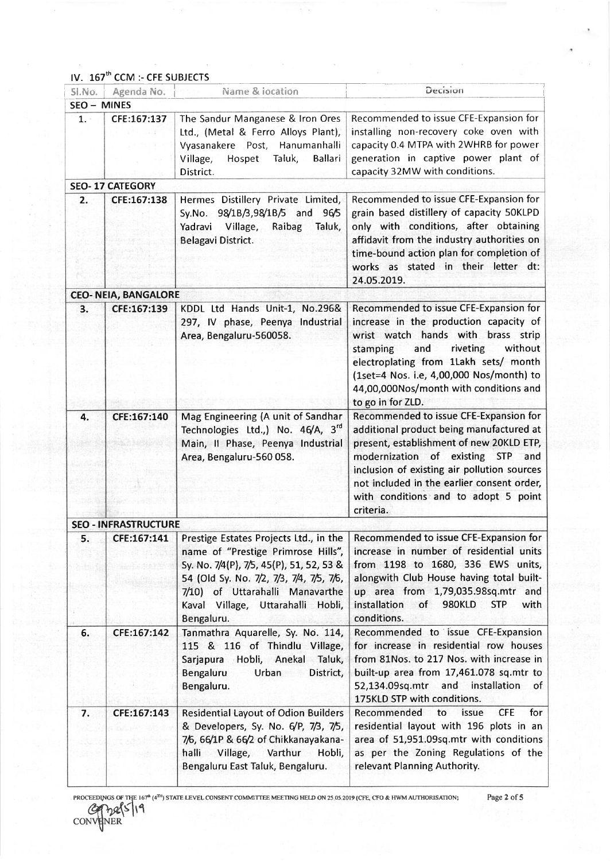## IV. 167<sup>th</sup> CCM :- CFE SUBJECTS

| Sl.No.      | Agenda No.                  | Name & location                                                                                                                                                                                                                                            | Decision                                                                                                                                                                                                                                                                                                              |
|-------------|-----------------------------|------------------------------------------------------------------------------------------------------------------------------------------------------------------------------------------------------------------------------------------------------------|-----------------------------------------------------------------------------------------------------------------------------------------------------------------------------------------------------------------------------------------------------------------------------------------------------------------------|
| SEO - MINES |                             |                                                                                                                                                                                                                                                            |                                                                                                                                                                                                                                                                                                                       |
| 1.          | CFE:167:137                 | The Sandur Manganese & Iron Ores<br>Ltd., (Metal & Ferro Alloys Plant),<br>Vyasanakere Post, Hanumanhalli<br><b>Ballari</b><br>Village,<br>Hospet<br>Taluk,<br>District.                                                                                   | Recommended to issue CFE-Expansion for<br>installing non-recovery coke oven with<br>capacity 0.4 MTPA with 2WHRB for power<br>generation in captive power plant of<br>capacity 32MW with conditions.                                                                                                                  |
|             | <b>SEO-17 CATEGORY</b>      |                                                                                                                                                                                                                                                            |                                                                                                                                                                                                                                                                                                                       |
| 2.          | CFE:167:138                 | Hermes Distillery Private Limited,<br>98/1B/3,98/1B/5 and 96/5<br>Sy.No.<br>Yadravi<br>Village,<br>Raibag<br>Taluk,<br>Belagavi District.                                                                                                                  | Recommended to issue CFE-Expansion for<br>grain based distillery of capacity 50KLPD<br>only with conditions, after obtaining<br>affidavit from the industry authorities on<br>time-bound action plan for completion of<br>works as stated in their letter dt:<br>24.05.2019.                                          |
|             | <b>CEO-NEIA, BANGALORE</b>  |                                                                                                                                                                                                                                                            |                                                                                                                                                                                                                                                                                                                       |
| 3.          | CFE:167:139                 | KDDL Ltd Hands Unit-1, No.296&<br>297, IV phase, Peenya Industrial<br>Area, Bengaluru-560058.                                                                                                                                                              | Recommended to issue CFE-Expansion for<br>increase in the production capacity of<br>wrist watch hands with brass strip<br>riveting<br>without<br>and<br>stamping<br>electroplating from 1Lakh sets/ month<br>(1set=4 Nos. i.e, 4,00,000 Nos/month) to<br>44,00,000Nos/month with conditions and<br>to go in for ZLD.  |
| 4.          | CFE:167:140                 | Mag Engineering (A unit of Sandhar<br>Technologies Ltd.,) No. 46/A, 3rd<br>Main, Il Phase, Peenya Industrial<br>Area, Bengaluru-560 058.                                                                                                                   | Recommended to issue CFE-Expansion for<br>additional product being manufactured at<br>present, establishment of new 20KLD ETP,<br>modernization of existing STP and<br>inclusion of existing air pollution sources<br>not included in the earlier consent order,<br>with conditions and to adopt 5 point<br>criteria. |
|             | <b>SEO - INFRASTRUCTURE</b> |                                                                                                                                                                                                                                                            |                                                                                                                                                                                                                                                                                                                       |
| 5.          | CFE:167:141                 | Prestige Estates Projects Ltd., in the<br>name of "Prestige Primrose Hills",<br>Sy. No. 7/4(P), 7/5, 45(P), 51, 52, 53 &<br>54 (Old Sy. No. 7/2, 7/3, 7/4, 7/5, 7/6,<br>7/10) of Uttarahalli Manavarthe<br>Kaval Village, Uttarahalli Hobli,<br>Bengaluru. | Recommended to issue CFE-Expansion for<br>increase in number of residential units<br>from 1198 to 1680, 336 EWS units,<br>alongwith Club House having total built-<br>up area from 1,79,035.98sq.mtr and<br>installation<br>of<br><b>980KLD</b><br><b>STP</b><br>with<br>conditions.                                  |
| 6.          | CFE:167:142                 | Tanmathra Aquarelle, Sy. No. 114,<br>115 & 116 of Thindlu Village,<br>Hobli, Anekal Taluk,<br>Sarjapura<br><b>Bengaluru</b><br>Urban<br>District,<br>Bengaluru.                                                                                            | Recommended to issue CFE-Expansion<br>for increase in residential row houses<br>from 81Nos. to 217 Nos. with increase in<br>built-up area from 17,461.078 sq.mtr to<br>52,134.09sq.mtr and installation<br>of<br>175KLD STP with conditions.                                                                          |
| 7.          | CFE:167:143                 | <b>Residential Layout of Odion Builders</b><br>& Developers, Sy. No. 6/P, 7/3, 7/5,<br>7/6, 66/1P & 66/2 of Chikkanayakana-<br>Village,<br>Varthur<br>halli<br>Hobli,<br>Bengaluru East Taluk, Bengaluru.                                                  | Recommended<br>to<br>issue<br><b>CFE</b><br>for<br>residential layout with 196 plots in an<br>area of 51,951.09sq.mtr with conditions<br>as per the Zoning Regulations of the<br>relevant Planning Authority.                                                                                                         |

 $\sim$   $\sim$ 

PROCEEDINGS OF THE 167<sup>th</sup> (4<sup>Th</sup>) STATE LEVEL CONSENT COMMITTEE MEETING HELD ON 25.05.2019 (CFE, CFO & HWM AUTHORISATION: Page 2 of 5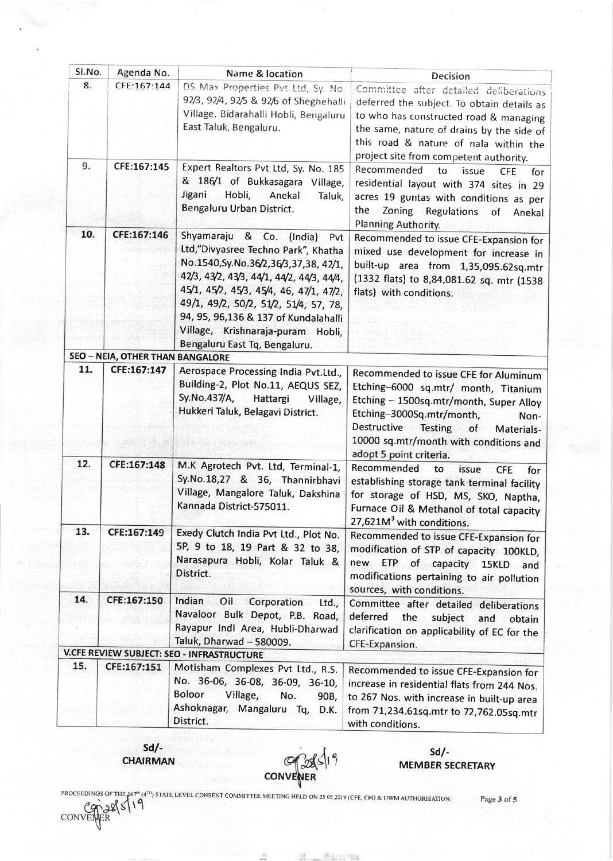| Sl.No. | Agenda No.                              | Name & location                            | <b>Decision</b>                                   |
|--------|-----------------------------------------|--------------------------------------------|---------------------------------------------------|
| 8.     | CFF:167:144                             | DS Max Properties Pvt Ltd, Sy. No.         | Committee after detailed deliberations            |
|        |                                         | 92/3, 92/4, 92/5 & 92/6 of Sheghehalli     | deferred the subject. To obtain details as        |
|        |                                         | Village, Bidarahalli Hobli, Bengaluru      | to who has constructed road & managing            |
|        |                                         | East Taluk, Bengaluru.                     | the same, nature of drains by the side of         |
|        |                                         |                                            | this road & nature of nala within the             |
|        |                                         |                                            | project site from competent authority.            |
| 9.     | CFE:167:145                             | Expert Realtors Pvt Ltd, Sy. No. 185       | Recommended<br>to<br>issue<br><b>CFE</b>          |
|        |                                         | & 186/1 of Bukkasagara Village,            | for<br>residential layout with 374 sites in 29    |
|        |                                         | Jigani<br>Hobli,<br>Anekal<br>Taluk,       | acres 19 guntas with conditions as per            |
|        |                                         | Bengaluru Urban District.                  | the<br>Zoning Regulations<br>of Anekal            |
|        |                                         |                                            | Planning Authority.                               |
| 10.    | CFE:167:146                             | Shyamaraju & Co. (India)<br>Pvt            | Recommended to issue CFE-Expansion for            |
|        |                                         | Ltd,"Divyasree Techno Park", Khatha        | mixed use development for increase in             |
|        |                                         | No.1540, Sy.No.36/2, 36/3, 37, 38, 42/1,   | built-up area from 1,35,095.62sq.mtr              |
|        |                                         | 42/3, 43/2, 43/3, 44/1, 44/2, 44/3, 44/4,  | (1332 flats) to 8,84,081.62 sq. mtr (1538         |
|        |                                         | 45/1, 45/2, 45/3, 45/4, 46, 47/1, 47/2,    | flats) with conditions.                           |
|        |                                         | 49/1, 49/2, 50/2, 51/2, 51/4, 57, 78,      |                                                   |
|        |                                         | 94, 95, 96,136 & 137 of Kundalahalli       |                                                   |
|        |                                         | Village, Krishnaraja-puram Hobli,          |                                                   |
|        |                                         | Bengaluru East Tq, Bengaluru.              |                                                   |
|        | <b>SEO - NEIA, OTHER THAN BANGALORE</b> |                                            |                                                   |
| 11.    | CFE:167:147                             | Aerospace Processing India Pvt.Ltd.,       | Recommended to issue CFE for Aluminum             |
|        |                                         | Building-2, Plot No.11, AEQUS SEZ,         | Etching-6000 sq.mtr/ month, Titanium              |
|        |                                         | Sy.No.437/A,<br>Hattargi<br>Village,       | Etching - 1500sq.mtr/month, Super Alloy           |
|        |                                         | Hukkeri Taluk, Belagavi District.          | Etching-3000Sq.mtr/month,<br>Non-                 |
|        |                                         |                                            | Destructive<br><b>Testing</b><br>of<br>Materials- |
|        |                                         |                                            | 10000 sq.mtr/month with conditions and            |
|        |                                         |                                            | adopt 5 point criteria.                           |
| 12.    | CFE:167:148                             | M.K Agrotech Pvt. Ltd, Terminal-1,         | Recommended<br>to<br>issue<br><b>CFE</b><br>for   |
|        |                                         | Sy.No.18,27 & 36, Thannirbhavi             | establishing storage tank terminal facility       |
|        |                                         | Village, Mangalore Taluk, Dakshina         | for storage of HSD, MS, SKO, Naptha,              |
|        |                                         | Kannada District-575011.                   | Furnace Oil & Methanol of total capacity          |
|        |                                         |                                            | 27,621M <sup>3</sup> with conditions.             |
| 13.    | CFE:167:149                             | Exedy Clutch India Pvt Ltd., Plot No.      | Recommended to issue CFE-Expansion for            |
|        |                                         | 5P, 9 to 18, 19 Part & 32 to 38,           | modification of STP of capacity 100KLD,           |
|        |                                         | Narasapura Hobli, Kolar Taluk &            | new ETP<br>of capacity<br>15KLD<br>and            |
|        |                                         | District.                                  | modifications pertaining to air pollution         |
|        |                                         |                                            | sources, with conditions.                         |
| 14.    | CFE:167:150                             | Indian<br>Oil<br>Corporation<br>Ltd.,      | Committee after detailed deliberations            |
|        |                                         | Navaloor Bulk Depot, P.B. Road,            | deferred<br>the<br>subject<br>and<br>obtain       |
|        |                                         | Rayapur Indl Area, Hubli-Dharwad           | clarification on applicability of EC for the      |
|        |                                         | Taluk, Dharwad - 580009.                   | CFE-Expansion.                                    |
|        |                                         | V.CFE REVIEW SUBJECT: SEO - INFRASTRUCTURE |                                                   |
| 15.    | CFE:167:151                             | Motisham Complexes Pvt Ltd., R.S.          | Recommended to issue CFE-Expansion for            |
|        |                                         | No. 36-06, 36-08, 36-09, 36-10,            | increase in residential flats from 244 Nos.       |
|        |                                         | <b>Boloor</b><br>Village,<br>No.<br>90B,   | to 267 Nos. with increase in built-up area        |
|        |                                         | Ashoknagar, Mangaluru Tq, D.K.             | from 71,234.61sq.mtr to 72,762.05sq.mtr           |
|        |                                         | District.                                  | with conditions.                                  |

 $Sd/-$ **CHAIRMAN** 

CONVENER

 $Sd/-$ **MEMBER SECRETARY** 

PROCEEDINGS OF THE 167<sup>th</sup> (4<sup>TH</sup>) STATE LEVEL CONSENT COMMITTEE MEETING HELD ON 25.05.2019 (CFE, CFO & HWM AUTHORISATION)<br>CONVENER

Page 3 of 5